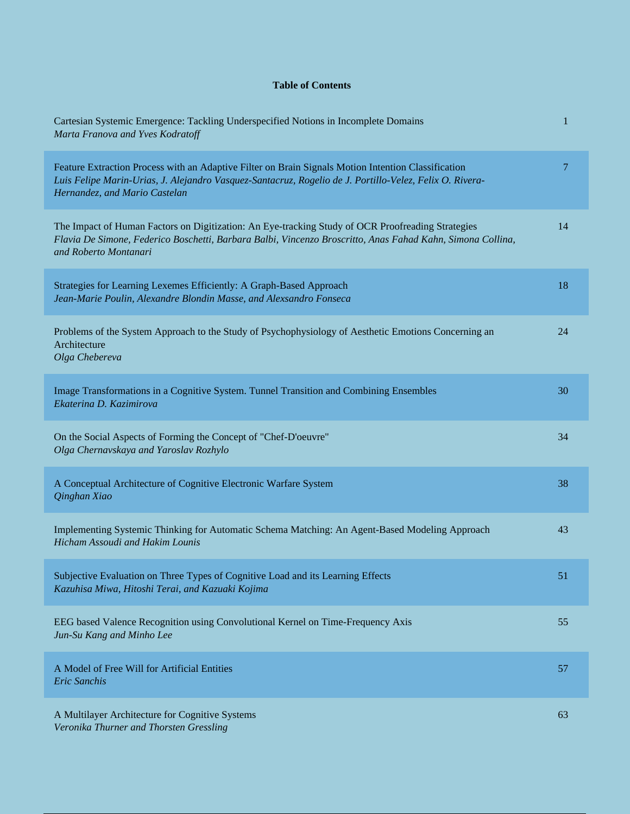## **Table of Contents**

| Cartesian Systemic Emergence: Tackling Underspecified Notions in Incomplete Domains<br>Marta Franova and Yves Kodratoff                                                                                                                         | 1  |
|-------------------------------------------------------------------------------------------------------------------------------------------------------------------------------------------------------------------------------------------------|----|
| Feature Extraction Process with an Adaptive Filter on Brain Signals Motion Intention Classification<br>Luis Felipe Marin-Urias, J. Alejandro Vasquez-Santacruz, Rogelio de J. Portillo-Velez, Felix O. Rivera-<br>Hernandez, and Mario Castelan | 7  |
| The Impact of Human Factors on Digitization: An Eye-tracking Study of OCR Proofreading Strategies<br>Flavia De Simone, Federico Boschetti, Barbara Balbi, Vincenzo Broscritto, Anas Fahad Kahn, Simona Collina,<br>and Roberto Montanari        | 14 |
| Strategies for Learning Lexemes Efficiently: A Graph-Based Approach<br>Jean-Marie Poulin, Alexandre Blondin Masse, and Alexsandro Fonseca                                                                                                       | 18 |
| Problems of the System Approach to the Study of Psychophysiology of Aesthetic Emotions Concerning an<br>Architecture<br>Olga Chebereva                                                                                                          | 24 |
| Image Transformations in a Cognitive System. Tunnel Transition and Combining Ensembles<br>Ekaterina D. Kazimirova                                                                                                                               | 30 |
| On the Social Aspects of Forming the Concept of "Chef-D'oeuvre"<br>Olga Chernavskaya and Yaroslav Rozhylo                                                                                                                                       | 34 |
| A Conceptual Architecture of Cognitive Electronic Warfare System<br>Qinghan Xiao                                                                                                                                                                | 38 |
| Implementing Systemic Thinking for Automatic Schema Matching: An Agent-Based Modeling Approach<br>Hicham Assoudi and Hakim Lounis                                                                                                               | 43 |
| Subjective Evaluation on Three Types of Cognitive Load and its Learning Effects<br>Kazuhisa Miwa, Hitoshi Terai, and Kazuaki Kojima                                                                                                             | 51 |
| EEG based Valence Recognition using Convolutional Kernel on Time-Frequency Axis<br>Jun-Su Kang and Minho Lee                                                                                                                                    | 55 |
| A Model of Free Will for Artificial Entities<br><b>Eric Sanchis</b>                                                                                                                                                                             | 57 |
| A Multilayer Architecture for Cognitive Systems<br>Veronika Thurner and Thorsten Gressling                                                                                                                                                      | 63 |